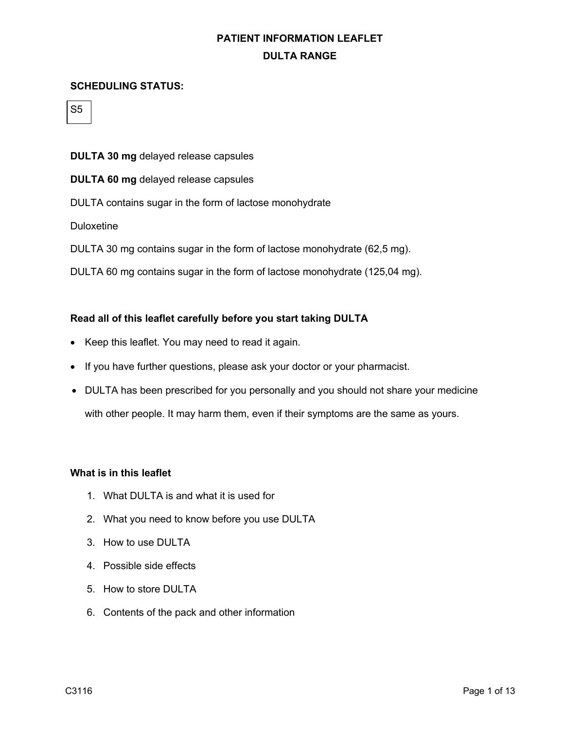#### **SCHEDULING STATUS:**

S5

**DULTA 30 mg** delayed release capsules

**DULTA 60 mg** delayed release capsules

DULTA contains sugar in the form of lactose monohydrate

Duloxetine

DULTA 30 mg contains sugar in the form of lactose monohydrate (62,5 mg).

DULTA 60 mg contains sugar in the form of lactose monohydrate (125,04 mg).

#### **Read all of this leaflet carefully before you start taking DULTA**

- Keep this leaflet. You may need to read it again.
- If you have further questions, please ask your doctor or your pharmacist.
- DULTA has been prescribed for you personally and you should not share your medicine with other people. It may harm them, even if their symptoms are the same as yours.

#### **What is in this leaflet**

- 1. What DULTA is and what it is used for
- 2. What you need to know before you use DULTA
- 3. How to use DULTA
- 4. Possible side effects
- 5. How to store DULTA
- 6. Contents of the pack and other information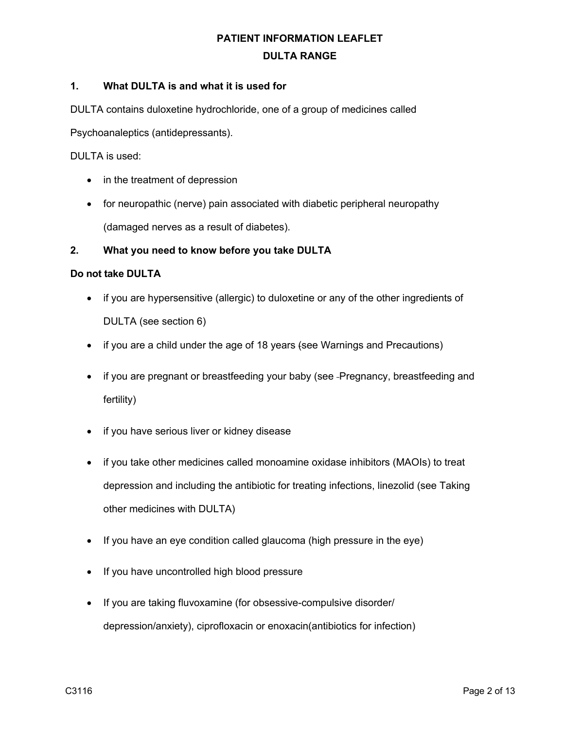### **1. What DULTA is and what it is used for**

DULTA contains duloxetine hydrochloride, one of a group of medicines called

Psychoanaleptics (antidepressants).

DULTA is used:

- in the treatment of depression
- for neuropathic (nerve) pain associated with diabetic peripheral neuropathy (damaged nerves as a result of diabetes).

### **2. What you need to know before you take DULTA**

#### **Do not take DULTA**

- if you are hypersensitive (allergic) to duloxetine or any of the other ingredients of DULTA (see section 6)
- if you are a child under the age of 18 years (see Warnings and Precautions)
- if you are pregnant or breastfeeding your baby (see -Pregnancy, breastfeeding and fertility)
- if you have serious liver or kidney disease
- if you take other medicines called monoamine oxidase inhibitors (MAOIs) to treat depression and including the antibiotic for treating infections, linezolid (see Taking other medicines with DULTA)
- If you have an eye condition called glaucoma (high pressure in the eye)
- If you have uncontrolled high blood pressure
- If you are taking fluvoxamine (for obsessive-compulsive disorder/ depression/anxiety), ciprofloxacin or enoxacin(antibiotics for infection)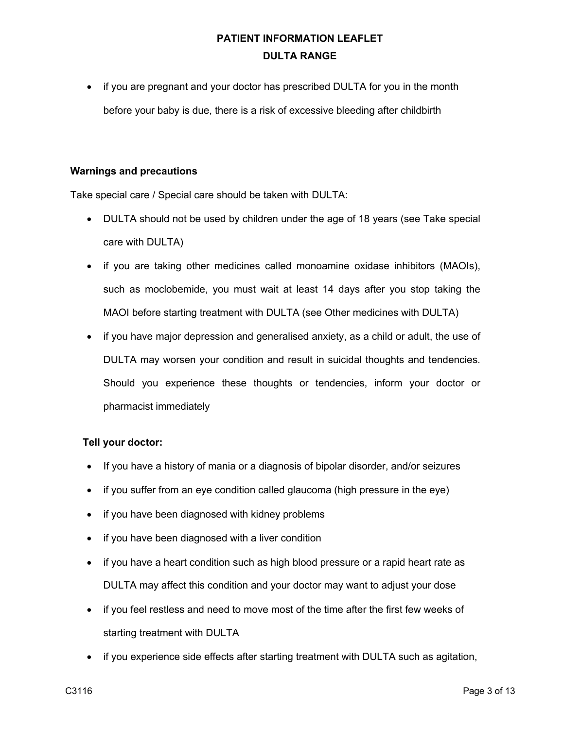• if you are pregnant and your doctor has prescribed DULTA for you in the month before your baby is due, there is a risk of excessive bleeding after childbirth

#### **Warnings and precautions**

Take special care / Special care should be taken with DULTA:

- DULTA should not be used by children under the age of 18 years (see Take special care with DULTA)
- if you are taking other medicines called monoamine oxidase inhibitors (MAOIs), such as moclobemide, you must wait at least 14 days after you stop taking the MAOI before starting treatment with DULTA (see Other medicines with DULTA)
- if you have major depression and generalised anxiety, as a child or adult, the use of DULTA may worsen your condition and result in suicidal thoughts and tendencies. Should you experience these thoughts or tendencies, inform your doctor or pharmacist immediately

### **Tell your doctor:**

- If you have a history of mania or a diagnosis of bipolar disorder, and/or seizures
- if you suffer from an eye condition called glaucoma (high pressure in the eye)
- if you have been diagnosed with kidney problems
- if you have been diagnosed with a liver condition
- if you have a heart condition such as high blood pressure or a rapid heart rate as DULTA may affect this condition and your doctor may want to adjust your dose
- if you feel restless and need to move most of the time after the first few weeks of starting treatment with DULTA
- if you experience side effects after starting treatment with DULTA such as agitation,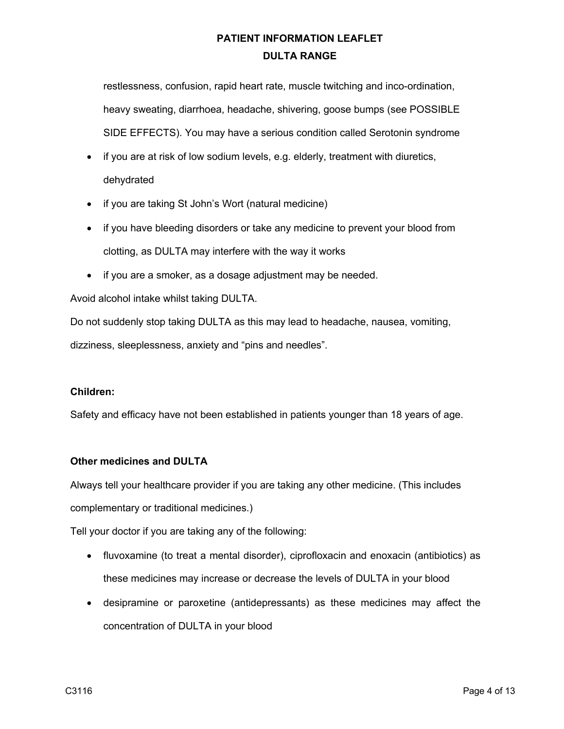restlessness, confusion, rapid heart rate, muscle twitching and inco-ordination, heavy sweating, diarrhoea, headache, shivering, goose bumps (see POSSIBLE SIDE EFFECTS). You may have a serious condition called Serotonin syndrome

- if you are at risk of low sodium levels, e.g. elderly, treatment with diuretics, dehydrated
- if you are taking St John's Wort (natural medicine)
- if you have bleeding disorders or take any medicine to prevent your blood from clotting, as DULTA may interfere with the way it works
- if you are a smoker, as a dosage adjustment may be needed.

Avoid alcohol intake whilst taking DULTA.

Do not suddenly stop taking DULTA as this may lead to headache, nausea, vomiting, dizziness, sleeplessness, anxiety and "pins and needles".

## **Children:**

Safety and efficacy have not been established in patients younger than 18 years of age.

## **Other medicines and DULTA**

Always tell your healthcare provider if you are taking any other medicine. (This includes complementary or traditional medicines.)

Tell your doctor if you are taking any of the following:

- fluvoxamine (to treat a mental disorder), ciprofloxacin and enoxacin (antibiotics) as these medicines may increase or decrease the levels of DULTA in your blood
- desipramine or paroxetine (antidepressants) as these medicines may affect the concentration of DULTA in your blood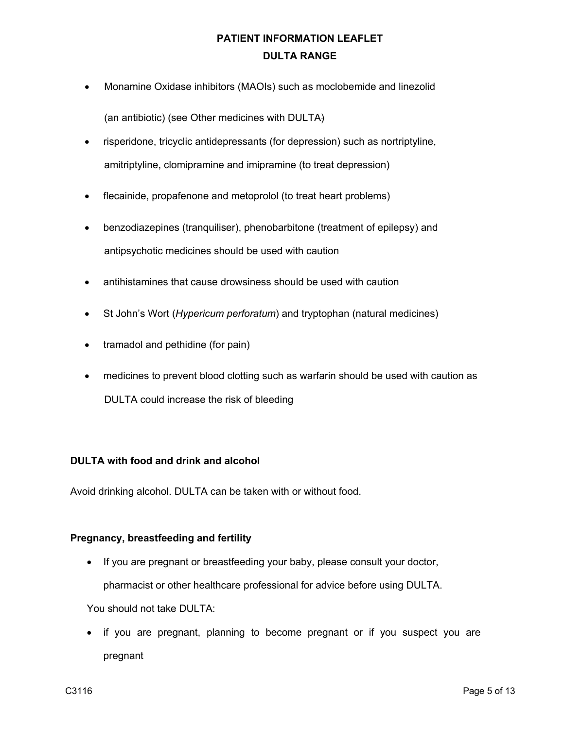- Monamine Oxidase inhibitors (MAOIs) such as moclobemide and linezolid (an antibiotic) (see Other medicines with DULTA)
- risperidone, tricyclic antidepressants (for depression) such as nortriptyline, amitriptyline, clomipramine and imipramine (to treat depression)
- flecainide, propafenone and metoprolol (to treat heart problems)
- benzodiazepines (tranquiliser), phenobarbitone (treatment of epilepsy) and antipsychotic medicines should be used with caution
- antihistamines that cause drowsiness should be used with caution
- St John's Wort (*Hypericum perforatum*) and tryptophan (natural medicines)
- tramadol and pethidine (for pain)
- medicines to prevent blood clotting such as warfarin should be used with caution as DULTA could increase the risk of bleeding

## **DULTA with food and drink and alcohol**

Avoid drinking alcohol. DULTA can be taken with or without food.

### **Pregnancy, breastfeeding and fertility**

• If you are pregnant or breastfeeding your baby, please consult your doctor,

pharmacist or other healthcare professional for advice before using DULTA.

You should not take DULTA:

• if you are pregnant, planning to become pregnant or if you suspect you are pregnant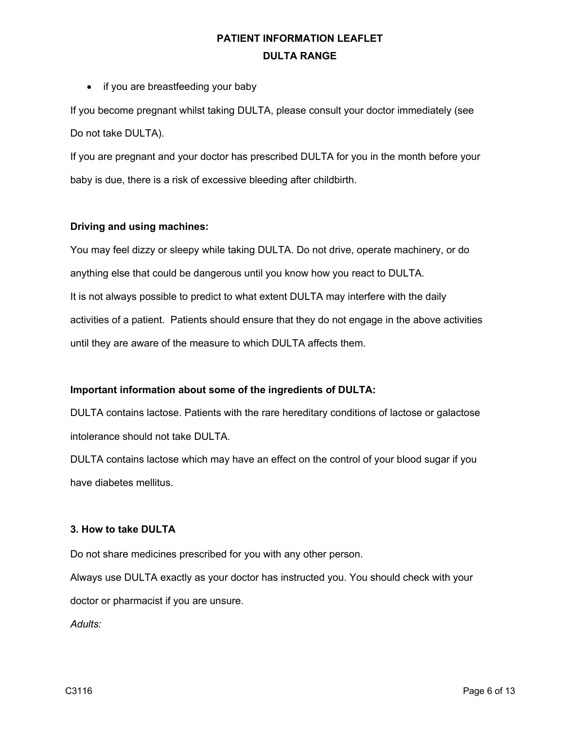• if you are breastfeeding your baby

If you become pregnant whilst taking DULTA, please consult your doctor immediately (see Do not take DULTA).

If you are pregnant and your doctor has prescribed DULTA for you in the month before your baby is due, there is a risk of excessive bleeding after childbirth.

### **Driving and using machines:**

You may feel dizzy or sleepy while taking DULTA. Do not drive, operate machinery, or do anything else that could be dangerous until you know how you react to DULTA. It is not always possible to predict to what extent DULTA may interfere with the daily activities of a patient. Patients should ensure that they do not engage in the above activities until they are aware of the measure to which DULTA affects them.

## **Important information about some of the ingredients of DULTA:**

DULTA contains lactose. Patients with the rare hereditary conditions of lactose or galactose intolerance should not take DULTA.

DULTA contains lactose which may have an effect on the control of your blood sugar if you have diabetes mellitus.

### **3. How to take DULTA**

Do not share medicines prescribed for you with any other person.

Always use DULTA exactly as your doctor has instructed you. You should check with your doctor or pharmacist if you are unsure.

*Adults:*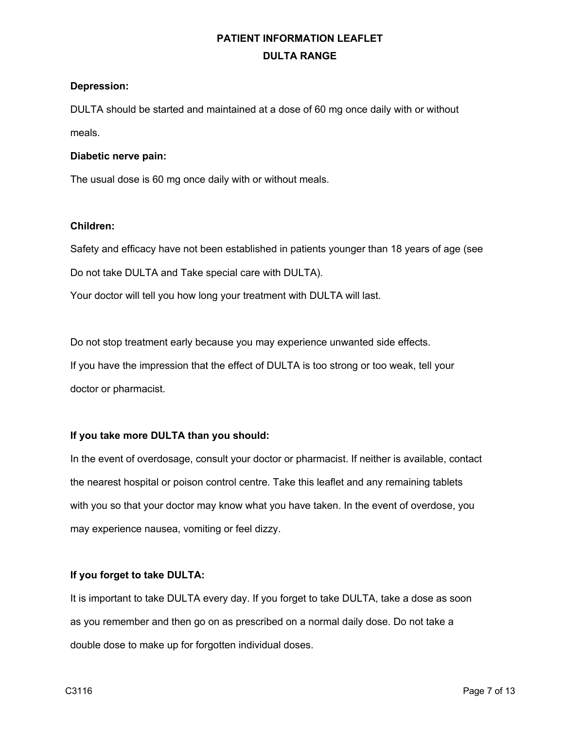#### **Depression:**

DULTA should be started and maintained at a dose of 60 mg once daily with or without meals.

#### **Diabetic nerve pain:**

The usual dose is 60 mg once daily with or without meals.

### **Children:**

Safety and efficacy have not been established in patients younger than 18 years of age (see Do not take DULTA and Take special care with DULTA). Your doctor will tell you how long your treatment with DULTA will last.

Do not stop treatment early because you may experience unwanted side effects. If you have the impression that the effect of DULTA is too strong or too weak, tell your doctor or pharmacist.

## **If you take more DULTA than you should:**

In the event of overdosage, consult your doctor or pharmacist. If neither is available, contact the nearest hospital or poison control centre. Take this leaflet and any remaining tablets with you so that your doctor may know what you have taken. In the event of overdose, you may experience nausea, vomiting or feel dizzy.

### **If you forget to take DULTA:**

It is important to take DULTA every day. If you forget to take DULTA, take a dose as soon as you remember and then go on as prescribed on a normal daily dose. Do not take a double dose to make up for forgotten individual doses.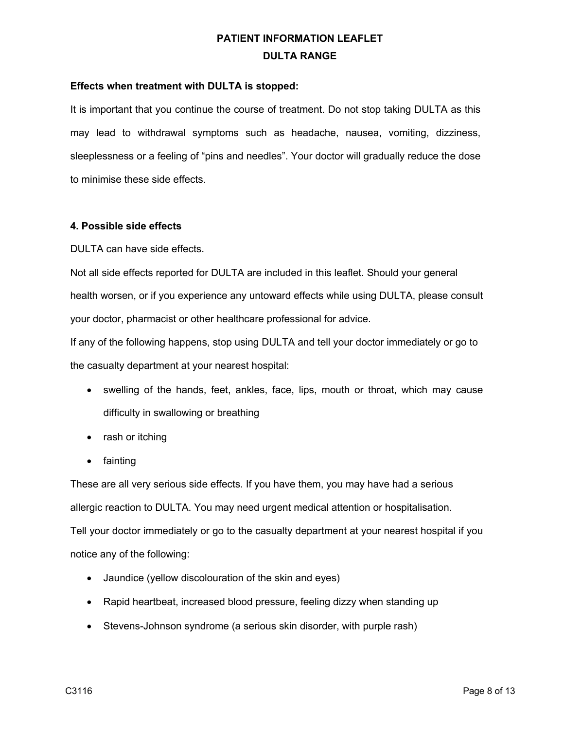#### **Effects when treatment with DULTA is stopped:**

It is important that you continue the course of treatment. Do not stop taking DULTA as this may lead to withdrawal symptoms such as headache, nausea, vomiting, dizziness, sleeplessness or a feeling of "pins and needles". Your doctor will gradually reduce the dose to minimise these side effects.

#### **4. Possible side effects**

DULTA can have side effects.

Not all side effects reported for DULTA are included in this leaflet. Should your general health worsen, or if you experience any untoward effects while using DULTA, please consult your doctor, pharmacist or other healthcare professional for advice.

If any of the following happens, stop using DULTA and tell your doctor immediately or go to the casualty department at your nearest hospital:

- swelling of the hands, feet, ankles, face, lips, mouth or throat, which may cause difficulty in swallowing or breathing
- rash or itching
- fainting

These are all very serious side effects. If you have them, you may have had a serious allergic reaction to DULTA. You may need urgent medical attention or hospitalisation. Tell your doctor immediately or go to the casualty department at your nearest hospital if you notice any of the following:

- Jaundice (yellow discolouration of the skin and eyes)
- Rapid heartbeat, increased blood pressure, feeling dizzy when standing up
- Stevens-Johnson syndrome (a serious skin disorder, with purple rash)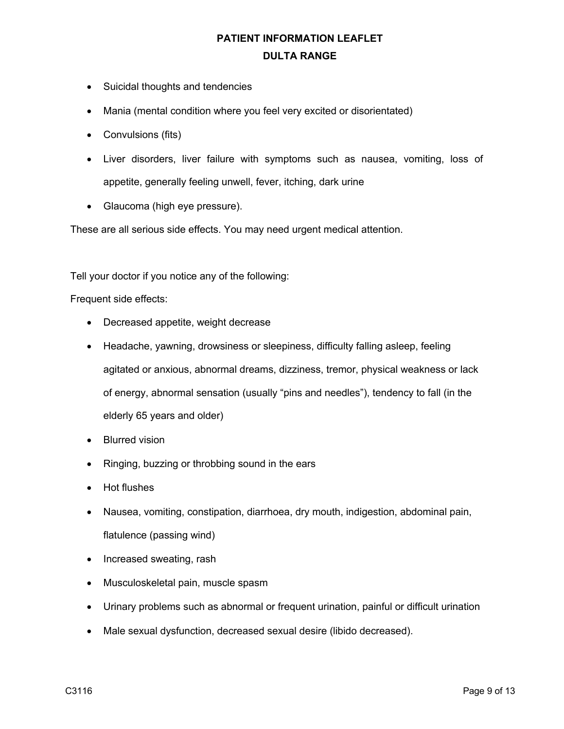- Suicidal thoughts and tendencies
- Mania (mental condition where you feel very excited or disorientated)
- Convulsions (fits)
- Liver disorders, liver failure with symptoms such as nausea, vomiting, loss of appetite, generally feeling unwell, fever, itching, dark urine
- Glaucoma (high eye pressure).

These are all serious side effects. You may need urgent medical attention.

Tell your doctor if you notice any of the following:

Frequent side effects:

- Decreased appetite, weight decrease
- Headache, yawning, drowsiness or sleepiness, difficulty falling asleep, feeling agitated or anxious, abnormal dreams, dizziness, tremor, physical weakness or lack of energy, abnormal sensation (usually "pins and needles"), tendency to fall (in the elderly 65 years and older)
- Blurred vision
- Ringing, buzzing or throbbing sound in the ears
- Hot flushes
- Nausea, vomiting, constipation, diarrhoea, dry mouth, indigestion, abdominal pain, flatulence (passing wind)
- Increased sweating, rash
- Musculoskeletal pain, muscle spasm
- Urinary problems such as abnormal or frequent urination, painful or difficult urination
- Male sexual dysfunction, decreased sexual desire (libido decreased).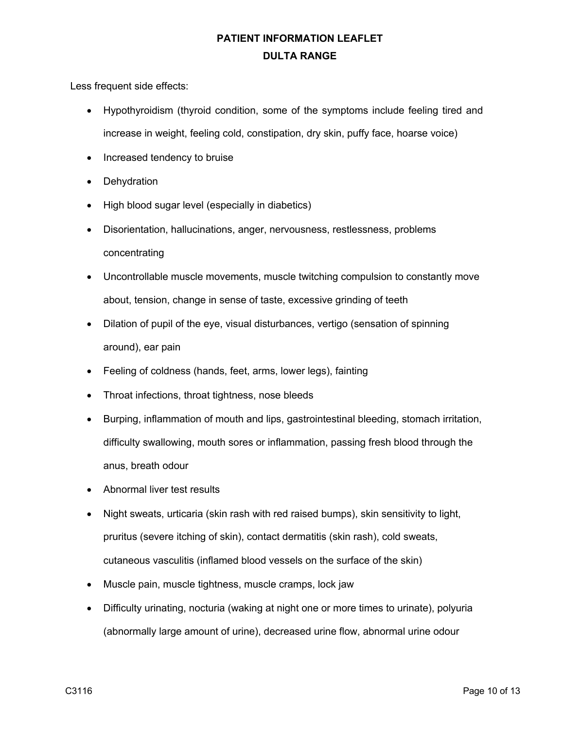Less frequent side effects:

- Hypothyroidism (thyroid condition, some of the symptoms include feeling tired and increase in weight, feeling cold, constipation, dry skin, puffy face, hoarse voice)
- Increased tendency to bruise
- Dehydration
- High blood sugar level (especially in diabetics)
- Disorientation, hallucinations, anger, nervousness, restlessness, problems concentrating
- Uncontrollable muscle movements, muscle twitching compulsion to constantly move about, tension, change in sense of taste, excessive grinding of teeth
- Dilation of pupil of the eye, visual disturbances, vertigo (sensation of spinning around), ear pain
- Feeling of coldness (hands, feet, arms, lower legs), fainting
- Throat infections, throat tightness, nose bleeds
- Burping, inflammation of mouth and lips, gastrointestinal bleeding, stomach irritation, difficulty swallowing, mouth sores or inflammation, passing fresh blood through the anus, breath odour
- Abnormal liver test results
- Night sweats, urticaria (skin rash with red raised bumps), skin sensitivity to light, pruritus (severe itching of skin), contact dermatitis (skin rash), cold sweats, cutaneous vasculitis (inflamed blood vessels on the surface of the skin)
- Muscle pain, muscle tightness, muscle cramps, lock jaw
- Difficulty urinating, nocturia (waking at night one or more times to urinate), polyuria (abnormally large amount of urine), decreased urine flow, abnormal urine odour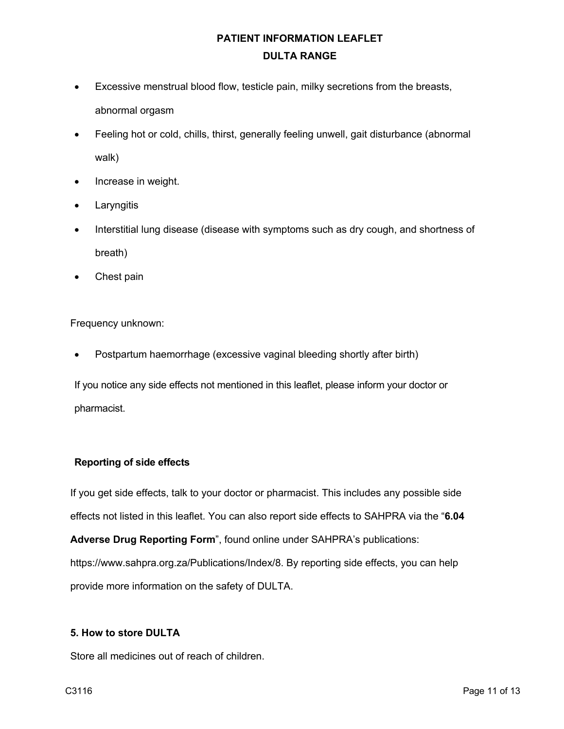- Excessive menstrual blood flow, testicle pain, milky secretions from the breasts, abnormal orgasm
- Feeling hot or cold, chills, thirst, generally feeling unwell, gait disturbance (abnormal walk)
- Increase in weight.
- **Laryngitis**
- Interstitial lung disease (disease with symptoms such as dry cough, and shortness of breath)
- Chest pain

Frequency unknown:

• Postpartum haemorrhage (excessive vaginal bleeding shortly after birth)

If you notice any side effects not mentioned in this leaflet, please inform your doctor or pharmacist.

### **Reporting of side effects**

If you get side effects, talk to your doctor or pharmacist. This includes any possible side effects not listed in this leaflet. You can also report side effects to SAHPRA via the "**6.04** 

**Adverse Drug Reporting Form**", found online under SAHPRA's publications: https://www.sahpra.org.za/Publications/Index/8. By reporting side effects, you can help provide more information on the safety of DULTA.

### **5. How to store DULTA**

Store all medicines out of reach of children.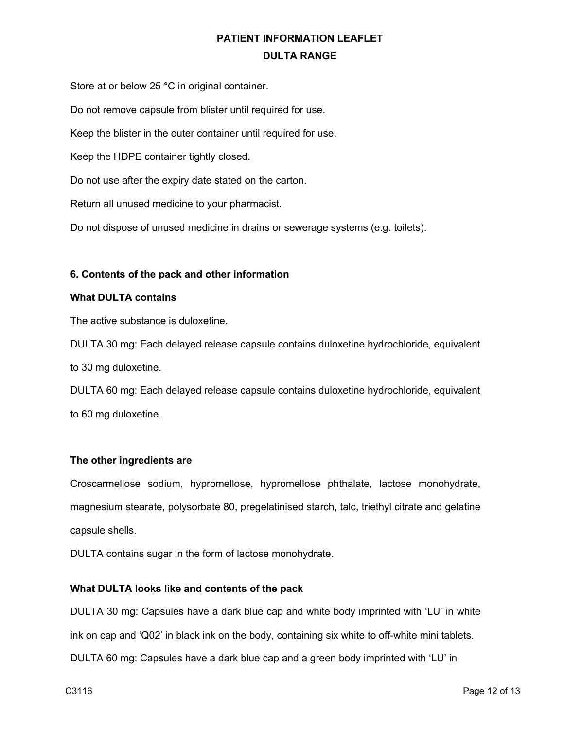Store at or below 25 °C in original container. Do not remove capsule from blister until required for use. Keep the blister in the outer container until required for use. Keep the HDPE container tightly closed. Do not use after the expiry date stated on the carton. Return all unused medicine to your pharmacist. Do not dispose of unused medicine in drains or sewerage systems (e.g. toilets).

### **6. Contents of the pack and other information**

#### **What DULTA contains**

The active substance is duloxetine.

DULTA 30 mg: Each delayed release capsule contains duloxetine hydrochloride, equivalent to 30 mg duloxetine.

DULTA 60 mg: Each delayed release capsule contains duloxetine hydrochloride, equivalent to 60 mg duloxetine.

### **The other ingredients are**

Croscarmellose sodium, hypromellose, hypromellose phthalate, lactose monohydrate, magnesium stearate, polysorbate 80, pregelatinised starch, talc, triethyl citrate and gelatine capsule shells.

DULTA contains sugar in the form of lactose monohydrate.

### **What DULTA looks like and contents of the pack**

DULTA 30 mg: Capsules have a dark blue cap and white body imprinted with 'LU' in white ink on cap and 'Q02' in black ink on the body, containing six white to off-white mini tablets. DULTA 60 mg: Capsules have a dark blue cap and a green body imprinted with 'LU' in